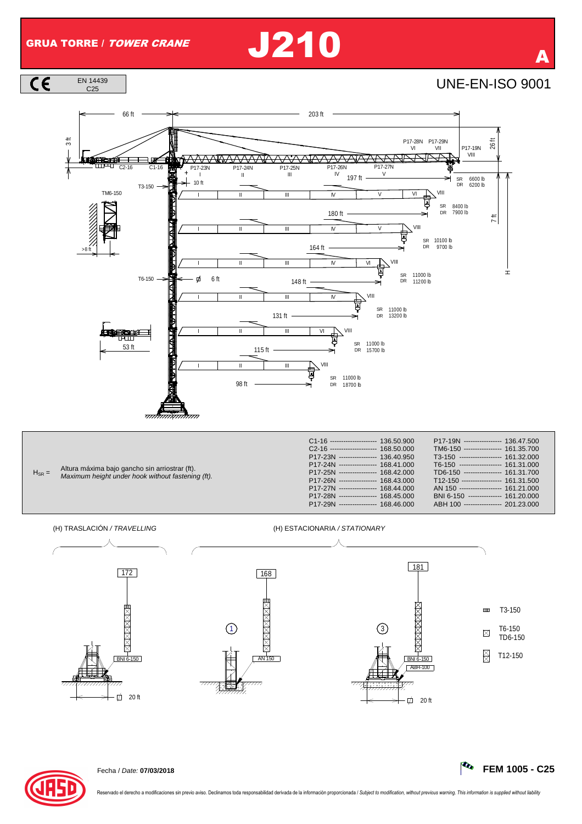EN 14439

 $\overline{c}$ 

## GRUA TORRE / TOWER CRANE  $\bigcup$  210







 $\Box$  20 ft

**MANAMA** 



T6-150

 $\boxtimes$ 

TD6-150

 $\overrightarrow{20}$  ft

BNI 6-150

ABH-100

1)  $\boxtimes$  (3

 $\frac{1}{AN}$  150

 $\overline{z}$ 

 $\frac{1}{2}$ 

BNI 6-150 T12-150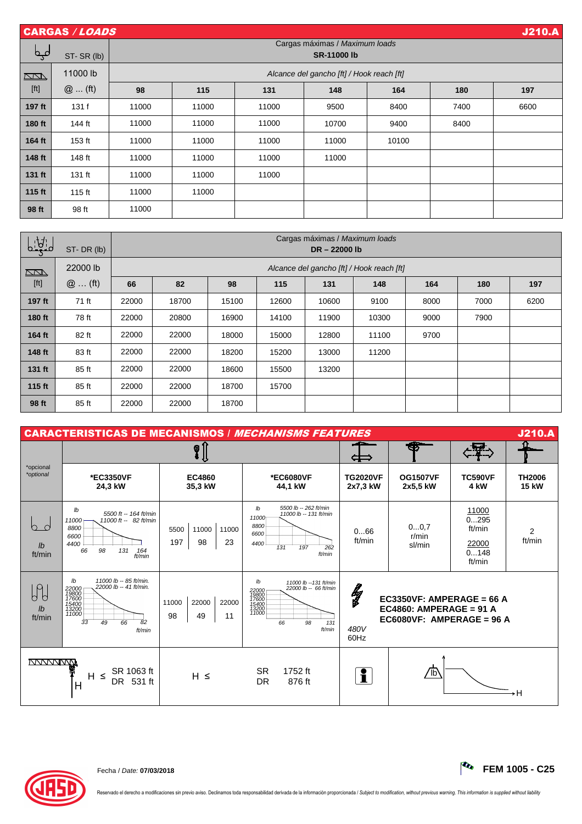|                                                                                                                                                                                                                       | <b>J210.A</b><br><b>CARGAS / LOADS</b>                             |       |                                           |       |       |       |      |      |  |  |  |  |  |
|-----------------------------------------------------------------------------------------------------------------------------------------------------------------------------------------------------------------------|--------------------------------------------------------------------|-------|-------------------------------------------|-------|-------|-------|------|------|--|--|--|--|--|
| مہم                                                                                                                                                                                                                   | Cargas máximas / Maximum loads<br><b>SR-11000 lb</b><br>ST-SR (lb) |       |                                           |       |       |       |      |      |  |  |  |  |  |
| $\Box$                                                                                                                                                                                                                | 11000 lb                                                           |       | Alcance del gancho [ft] / Hook reach [ft] |       |       |       |      |      |  |  |  |  |  |
| $[ft] % \begin{center} % \includegraphics[width=\linewidth]{imagesSupplemental_3.png} % \end{center} % \caption { % Our method is used for the method. % The method is used in the text. % } % \label{fig:example} %$ | $@$ (ft)                                                           | 98    | 115                                       | 131   | 148   | 164   | 180  | 197  |  |  |  |  |  |
| 197 ft                                                                                                                                                                                                                | 131f                                                               | 11000 | 11000                                     | 11000 | 9500  | 8400  | 7400 | 6600 |  |  |  |  |  |
| 180 ft                                                                                                                                                                                                                | 144 ft                                                             | 11000 | 11000                                     | 11000 | 10700 | 9400  | 8400 |      |  |  |  |  |  |
| 164 ft                                                                                                                                                                                                                | 153 ft                                                             | 11000 | 11000                                     | 11000 | 11000 | 10100 |      |      |  |  |  |  |  |
| 148 ft                                                                                                                                                                                                                | 148 ft                                                             | 11000 | 11000                                     | 11000 | 11000 |       |      |      |  |  |  |  |  |
| 131 ft                                                                                                                                                                                                                | 131 ft                                                             | 11000 | 11000                                     | 11000 |       |       |      |      |  |  |  |  |  |
| 115 ft                                                                                                                                                                                                                | 115 $ft$                                                           | 11000 | 11000                                     |       |       |       |      |      |  |  |  |  |  |
| 98 ft                                                                                                                                                                                                                 | 98 ft                                                              | 11000 |                                           |       |       |       |      |      |  |  |  |  |  |

| $b:\frac{1}{2}$ | ST-DR (lb) | Cargas máximas / Maximum loads<br>DR-22000 lb |       |       |       |       |       |      |      |      |  |
|-----------------|------------|-----------------------------------------------|-------|-------|-------|-------|-------|------|------|------|--|
| $\sqrt{2}$      | 22000 lb   | Alcance del gancho [ft] / Hook reach [ft]     |       |       |       |       |       |      |      |      |  |
| [ft]            | $@$ (ft)   | 66                                            | 82    | 98    | 115   | 131   | 148   | 164  | 180  | 197  |  |
| 197 ft          | 71 ft      | 22000                                         | 18700 | 15100 | 12600 | 10600 | 9100  | 8000 | 7000 | 6200 |  |
| 180 ft          | 78 ft      | 22000                                         | 20800 | 16900 | 14100 | 11900 | 10300 | 9000 | 7900 |      |  |
| 164 ft          | 82 ft      | 22000                                         | 22000 | 18000 | 15000 | 12800 | 11100 | 9700 |      |      |  |
| 148 ft          | 83 ft      | 22000                                         | 22000 | 18200 | 15200 | 13000 | 11200 |      |      |      |  |
| 131 ft          | 85 ft      | 22000                                         | 22000 | 18600 | 15500 | 13200 |       |      |      |      |  |
| 115 ft          | 85 ft      | 22000                                         | 22000 | 18700 | 15700 |       |       |      |      |      |  |
| 98 ft           | 85 ft      | 22000                                         | 22000 | 18700 |       |       |       |      |      |      |  |

| <b>J210.A</b><br><b>CARACTERISTICAS DE MECANISMOS / MECHANISMS FEATURES</b> |                                                                                                                                                |                                           |                                                                                                                                         |                             |                                                                                     |                                                    |                               |  |  |
|-----------------------------------------------------------------------------|------------------------------------------------------------------------------------------------------------------------------------------------|-------------------------------------------|-----------------------------------------------------------------------------------------------------------------------------------------|-----------------------------|-------------------------------------------------------------------------------------|----------------------------------------------------|-------------------------------|--|--|
|                                                                             |                                                                                                                                                |                                           | ÇІ                                                                                                                                      |                             |                                                                                     |                                                    |                               |  |  |
| *opcional<br>*optional                                                      | *EC3350VF<br>24.3 kW                                                                                                                           | <b>EC4860</b><br>35.3 kW                  | *EC6080VF<br>44.1 kW                                                                                                                    | <b>TG2020VF</b><br>2x7,3 kW | <b>OG1507VF</b><br>2x5,5 kW                                                         | <b>TC590VF</b><br>4 kW                             | <b>TH2006</b><br><b>15 kW</b> |  |  |
| $\mathsf{I}$<br>ft/min                                                      | lb<br>5500 ft -- 164 ft/min<br>11000 ft -- 82 ft/min<br>11000<br>8800<br>6600<br>4400<br>66<br>98<br>131<br>164<br>ft/min                      | 5500<br>11000<br>11000<br>197<br>98<br>23 | 5500 lb -- 262 ft/min<br>Ib<br>11000 lb -- 131 ft/min<br>11000<br>8800<br>6600<br>4400<br>262<br>197<br>131<br>ft/min                   | 066<br>ft/min               | 00.7<br>r/min<br>sl/min                                                             | 11000<br>0295<br>ft/min<br>22000<br>0148<br>ft/min | $\overline{2}$<br>ft/min      |  |  |
| h<br>$\mathsf{I}$<br>ft/min                                                 | 11000 lb -- 85 ft/min.<br>Ib<br>22000 lb -- 41 ft/min.<br>22000<br>19800<br>17600<br>15400<br>13200<br>11000<br>33<br>66<br>82<br>49<br>ft/min | 22000<br>11000<br>22000<br>98<br>49<br>11 | lb<br>11000 lb --131 ft/min<br>22000 lb -- 66 ft/min<br>22000<br>19800<br>17600<br>17600<br>15400<br>13200<br>98<br>131<br>66<br>ft/min | lg<br>480V<br>60Hz          | EC3350VF: AMPERAGE = 66 A<br>EC4860: AMPERAGE = 91 A<br>$EC6080VF: AMPERAGE = 96 A$ |                                                    |                               |  |  |
|                                                                             | SR 1063 ft<br>$\leq$<br>H.<br>DR 531 ft<br>H                                                                                                   | $H \leq$                                  | <b>SR</b><br>1752 ft<br><b>DR</b><br>876 ft                                                                                             | f.                          | 'lb                                                                                 |                                                    | →H                            |  |  |



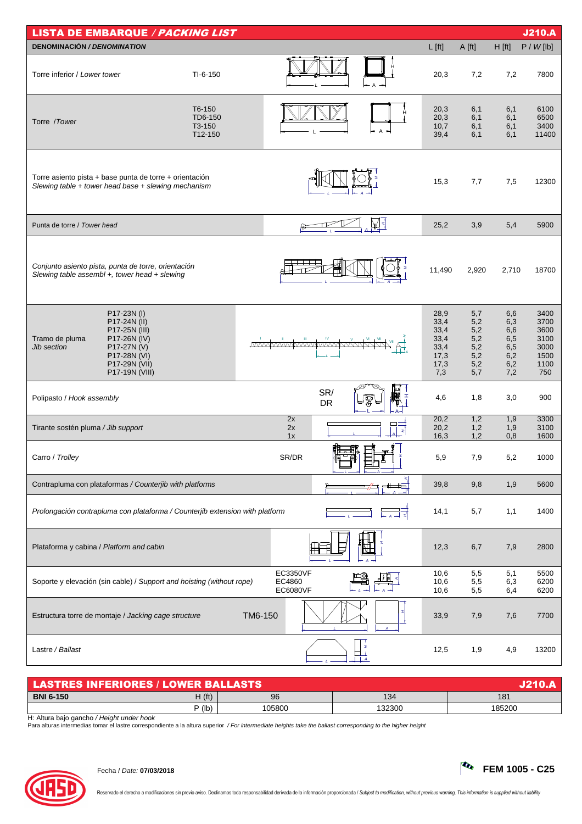| <b>LISTA DE EMBARQUE / PACKING LIST</b>                                                                                                                         |         |                                |                      | <b>J210.A</b>                             |                                                             |                                                      |                                                      |                                                             |
|-----------------------------------------------------------------------------------------------------------------------------------------------------------------|---------|--------------------------------|----------------------|-------------------------------------------|-------------------------------------------------------------|------------------------------------------------------|------------------------------------------------------|-------------------------------------------------------------|
| <b>DENOMINACIÓN / DENOMINATION</b>                                                                                                                              |         |                                |                      |                                           | $L$ [ft]                                                    | A [ft]                                               | H[ft]                                                | P / W[lb]                                                   |
| Torre inferior / Lower tower<br>TI-6-150                                                                                                                        |         |                                |                      |                                           | 20,3                                                        | 7,2                                                  | 7,2                                                  | 7800                                                        |
| T6-150<br>TD6-150<br>Torre / Tower<br>T3-150<br>T12-150                                                                                                         |         |                                |                      |                                           | 20,3<br>20,3<br>10,7<br>39,4                                | 6,1<br>6,1<br>6,1<br>6,1                             | 6,1<br>6,1<br>6,1<br>6,1                             | 6100<br>6500<br>3400<br>11400                               |
| Torre asiento pista + base punta de torre + orientación<br>Slewing table + tower head base + slewing mechanism                                                  |         |                                |                      |                                           | 15,3                                                        | 7,7                                                  | 7,5                                                  | 12300                                                       |
| Punta de torre / Tower head                                                                                                                                     |         |                                |                      | M                                         | 25,2                                                        | 3,9                                                  | 5,4                                                  | 5900                                                        |
| Conjunto asiento pista, punta de torre, orientación<br>Slewing table assembl +, tower head + slewing                                                            |         |                                |                      |                                           | 11,490                                                      | 2,920                                                | 2,710                                                | 18700                                                       |
| P17-23N (I)<br>P17-24N (II)<br>P17-25N (III)<br>Tramo de pluma<br>P17-26N (IV)<br>Jib section<br>P17-27N (V)<br>P17-28N (VI)<br>P17-29N (VII)<br>P17-19N (VIII) |         |                                | <u>MWWWWWWWWWWWW</u> |                                           | 28,9<br>33,4<br>33,4<br>33,4<br>33,4<br>17,3<br>17,3<br>7,3 | 5,7<br>5,2<br>5,2<br>5,2<br>5,2<br>5,2<br>5,2<br>5,7 | 6,6<br>6,3<br>6,6<br>6,5<br>6,5<br>6,2<br>6,2<br>7,2 | 3400<br>3700<br>3600<br>3100<br>3000<br>1500<br>1100<br>750 |
| Polipasto / Hook assembly                                                                                                                                       |         |                                | SR/<br>DR            | H<br>Ķ                                    | 4,6                                                         | 1,8                                                  | 3,0                                                  | 900                                                         |
| Tirante sostén pluma / Jib support                                                                                                                              |         | 2x<br>2x<br>1x                 |                      | x                                         | 20,2<br>20,2<br>16,3                                        | 1,2<br>1,2<br>1,2                                    | 1,9<br>1,9<br>0,8                                    | 3300<br>3100<br>1600                                        |
| Carro / Trolley                                                                                                                                                 |         | SR/DR                          |                      |                                           | 5,9                                                         | 7,9                                                  | 5,2                                                  | 1000                                                        |
| Contrapluma con plataformas / Counterjib with platforms                                                                                                         |         |                                |                      |                                           | 39,8                                                        | 9,8                                                  | 1,9                                                  | 5600                                                        |
| Prolongación contrapluma con plataforma / Counterjib extension with platform                                                                                    |         |                                |                      |                                           | 14,1                                                        | 5,7                                                  | 1,1                                                  | 1400                                                        |
| Plataforma y cabina / Platform and cabin                                                                                                                        |         |                                |                      |                                           | 12,3                                                        | 6,7                                                  | 7,9                                                  | 2800                                                        |
| Soporte y elevación (sin cable) / Support and hoisting (without rope)                                                                                           |         | EC3350VF<br>EC4860<br>EC6080VF |                      |                                           | 10,6<br>10,6<br>10,6                                        | 5,5<br>5,5<br>5,5                                    | 5,1<br>6,3<br>6,4                                    | 5500<br>6200<br>6200                                        |
| Estructura torre de montaje / Jacking cage structure                                                                                                            | TM6-150 |                                |                      | x                                         | 33,9                                                        | 7,9                                                  | 7,6                                                  | 7700                                                        |
| Lastre / Ballast                                                                                                                                                |         |                                | $-L -$               | $\mathbf{r}$<br>□⊥<br>$\perp$ $\perp$ $A$ | 12,5                                                        | 1,9                                                  | 4,9                                                  | 13200                                                       |

| LASTRES INFERIORES / LOWER BALLASTS / |          |        |        |                 |  |  |  |  |  |
|---------------------------------------|----------|--------|--------|-----------------|--|--|--|--|--|
| <b>BNI 6-150</b>                      | H(ft)    | 96     | 134    | 18 <sup>7</sup> |  |  |  |  |  |
|                                       | $P$ (lb) | 105800 | 132300 | 185200          |  |  |  |  |  |

H: Altura bajo gancho / Height under hook<br>Para alturas intermedias tomar el lastre correspondiente a la altura superior */ For intermediate heights take the ballast corresponding to the higher heigh*t